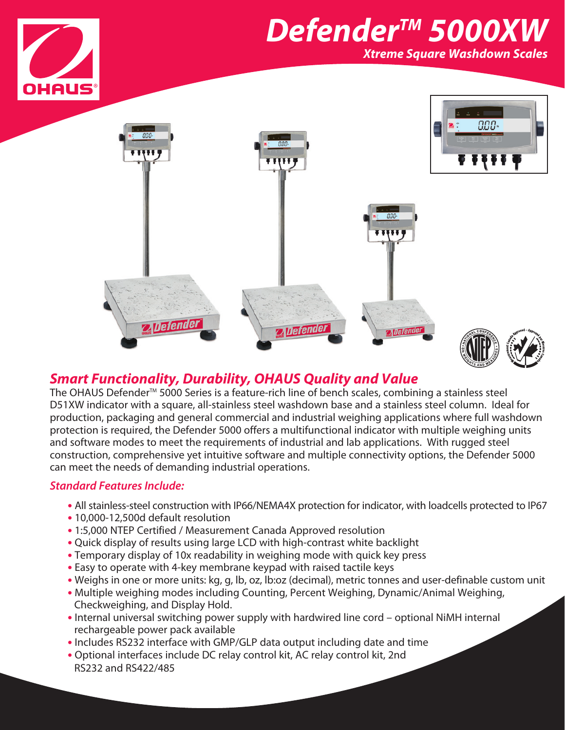

# *DefenderTM 5000XW*

*Xtreme Square Washdown Scales*



## *Smart Functionality, Durability, OHAUS Quality and Value*

The OHAUS Defender<sup>™</sup> 5000 Series is a feature-rich line of bench scales, combining a stainless steel D51XW indicator with a square, all-stainless steel washdown base and a stainless steel column. Ideal for production, packaging and general commercial and industrial weighing applications where full washdown protection is required, the Defender 5000 offers a multifunctional indicator with multiple weighing units and software modes to meet the requirements of industrial and lab applications. With rugged steel construction, comprehensive yet intuitive software and multiple connectivity options, the Defender 5000 can meet the needs of demanding industrial operations.

### *Standard Features Include:*

- **•** All stainless-steel construction with IP66/NEMA4X protection for indicator, with loadcells protected to IP67
- **•** 10,000-12,500d default resolution
- **•** 1:5,000 NTEP Certified / Measurement Canada Approved resolution
- **•** Quick display of results using large LCD with high-contrast white backlight
- **•** Temporary display of 10x readability in weighing mode with quick key press
- **•** Easy to operate with 4-key membrane keypad with raised tactile keys
- **•** Weighs in one or more units: kg, g, lb, oz, lb:oz (decimal), metric tonnes and user-definable custom unit
- **•** Multiple weighing modes including Counting, Percent Weighing, Dynamic/Animal Weighing, Checkweighing, and Display Hold.
- **•** Internal universal switching power supply with hardwired line cord optional NiMH internal rechargeable power pack available
- **•** Includes RS232 interface with GMP/GLP data output including date and time
- **•** Optional interfaces include DC relay control kit, AC relay control kit, 2nd RS232 and RS422/485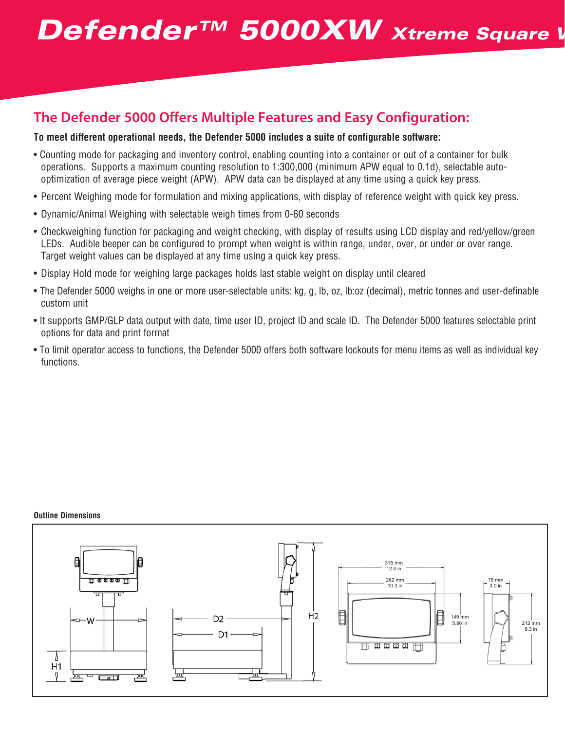## **Defender™ 5000XW** Xtreme Square W

## **The Defender 5000 Offers Multiple Features and Easy Configuration:**

### **To meet different operational needs, the Defender 5000 includes a suite of configurable software:**

- Counting mode for packaging and inventory control, enabling counting into a container or out of a container for bulk operations. Supports a maximum counting resolution to 1:300,000 (minimum APW equal to 0.1d), selectable autooptimization of average piece weight (APW). APW data can be displayed at any time using a quick key press.
- Percent Weighing mode for formulation and mixing applications, with display of reference weight with quick key press.
- Dynamic/Animal Weighing with selectable weigh times from 0-60 seconds
- Checkweighing function for packaging and weight checking, with display of results using LCD display and red/yellow/green LEDs. Audible beeper can be configured to prompt when weight is within range, under, over, or under or over range. Target weight values can be displayed at any time using a quick key press.
- Display Hold mode for weighing large packages holds last stable weight on display until cleared
- The Defender 5000 weighs in one or more user-selectable units: kg, g, lb, oz, lb:oz (decimal), metric tonnes and user-definable custom unit
- It supports GMP/GLP data output with date, time user ID, project ID and scale ID. The Defender 5000 features selectable print options for data and print format
- To limit operator access to functions, the Defender 5000 offers both software lockouts for menu items as well as individual key functions.

#### **Outline Dimensions**

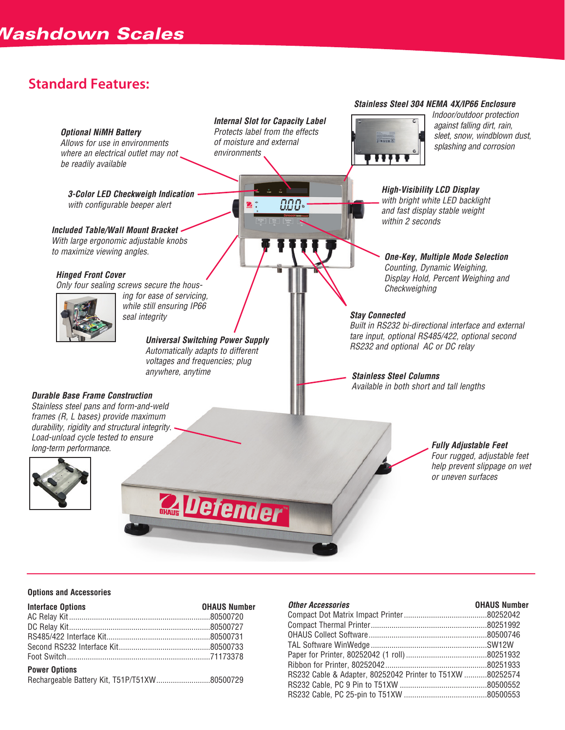## **Standard Features:**

#### *Optional NiMH Battery*

*Allows for use in environments where an electrical outlet may not be readily available*

*3-Color LED Checkweigh Indication with configurable beeper alert*

*Included Table/Wall Mount Bracket With large ergonomic adjustable knobs to maximize viewing angles.* 

#### *Hinged Front Cover*

*Only four sealing screws secure the hous-*



*ing for ease of servicing, while still ensuring IP66 seal integrity*

> *Universal Switching Power Supply Automatically adapts to different voltages and frequencies; plug anywhere, anytime Stainless Steel Columns*

**Quefender** 

#### *Durable Base Frame Construction*

*Stainless steel pans and form-and-weld frames (R, L bases) provide maximum durability, rigidity and structural integrity. Load-unload cycle tested to ensure long-term performance.*





AAA

*Stainless Steel 304 NEMA 4X/IP66 Enclosure*



*Indoor/outdoor protection against falling dirt, rain, sleet, snow, windblown dust, splashing and corrosion*

*High-Visibility LCD Display with bright white LED backlight and fast display stable weight within 2 seconds*

*One-Key, Multiple Mode Selection Counting, Dynamic Weighing, Display Hold, Percent Weighing and Checkweighing*

#### *Stay Connected*

*Built in RS232 bi-directional interface and external tare input, optional RS485/422, optional second RS232 and optional AC or DC relay*

*Available in both short and tall lengths*

#### *Fully Adjustable Feet Four rugged, adjustable feet help prevent slippage on wet or uneven surfaces*

#### **Options and Accessories**

| <b>Interface Options</b> | <b>OHAUS Number</b> |
|--------------------------|---------------------|
|                          |                     |
|                          |                     |
|                          |                     |
|                          |                     |
|                          |                     |
| <b>Power Options</b>     |                     |
|                          |                     |

| <b>Other Accessories</b>                                  | <b>OHAUS Number</b> |
|-----------------------------------------------------------|---------------------|
|                                                           |                     |
|                                                           |                     |
|                                                           |                     |
|                                                           |                     |
|                                                           |                     |
|                                                           |                     |
| RS232 Cable & Adapter, 80252042 Printer to T51XW 80252574 |                     |
|                                                           |                     |
|                                                           |                     |
|                                                           |                     |